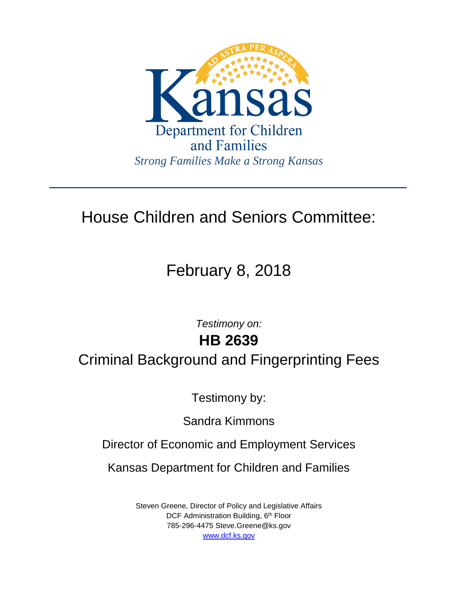

## House Children and Seniors Committee:

# February 8, 2018

*Testimony on:* **HB 2639**

Criminal Background and Fingerprinting Fees

Testimony by:

Sandra Kimmons

Director of Economic and Employment Services

Kansas Department for Children and Families

Steven Greene, Director of Policy and Legislative Affairs DCF Administration Building, 6<sup>th</sup> Floor 785-296-4475 Steve.Greene@ks.gov [www.dcf.ks.gov](http://www.dcf.ks.gov/)